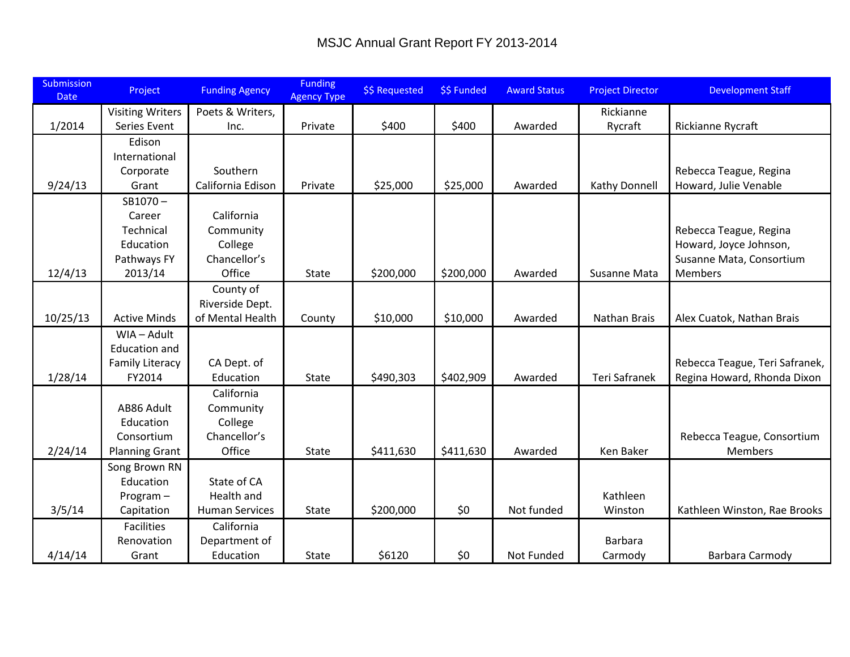| Submission<br><b>Date</b> | Project                                        | <b>Funding Agency</b> | <b>Funding</b><br><b>Agency Type</b> | \$\$ Requested | \$\$ Funded | <b>Award Status</b> | <b>Project Director</b> | <b>Development Staff</b>       |
|---------------------------|------------------------------------------------|-----------------------|--------------------------------------|----------------|-------------|---------------------|-------------------------|--------------------------------|
|                           | <b>Visiting Writers</b>                        | Poets & Writers,      |                                      |                |             |                     | Rickianne               |                                |
| 1/2014                    | Series Event                                   | Inc.                  | Private                              | \$400          | \$400       | Awarded             | Rycraft                 | Rickianne Rycraft              |
|                           | Edison                                         |                       |                                      |                |             |                     |                         |                                |
|                           | International                                  |                       |                                      |                |             |                     |                         |                                |
|                           | Corporate                                      | Southern              |                                      |                |             |                     |                         | Rebecca Teague, Regina         |
| 9/24/13                   | Grant                                          | California Edison     | Private                              | \$25,000       | \$25,000    | Awarded             | Kathy Donnell           | Howard, Julie Venable          |
|                           | $SB1070 -$                                     |                       |                                      |                |             |                     |                         |                                |
|                           | Career                                         | California            |                                      |                |             |                     |                         |                                |
|                           | Technical                                      | Community             |                                      |                |             |                     |                         | Rebecca Teague, Regina         |
|                           | Education                                      | College               |                                      |                |             |                     |                         | Howard, Joyce Johnson,         |
|                           | Pathways FY                                    | Chancellor's          |                                      |                |             |                     |                         | Susanne Mata, Consortium       |
| 12/4/13                   | 2013/14                                        | Office                | <b>State</b>                         | \$200,000      | \$200,000   | Awarded             | Susanne Mata            | <b>Members</b>                 |
|                           |                                                | County of             |                                      |                |             |                     |                         |                                |
|                           |                                                | Riverside Dept.       |                                      |                |             |                     |                         |                                |
| 10/25/13                  | <b>Active Minds</b>                            | of Mental Health      | County                               | \$10,000       | \$10,000    | Awarded             | Nathan Brais            | Alex Cuatok, Nathan Brais      |
|                           | WIA - Adult                                    |                       |                                      |                |             |                     |                         |                                |
|                           | <b>Education and</b><br><b>Family Literacy</b> | CA Dept. of           |                                      |                |             |                     |                         | Rebecca Teague, Teri Safranek, |
| 1/28/14                   | FY2014                                         | Education             | State                                | \$490,303      | \$402,909   | Awarded             | <b>Teri Safranek</b>    | Regina Howard, Rhonda Dixon    |
|                           |                                                | California            |                                      |                |             |                     |                         |                                |
|                           | AB86 Adult                                     | Community             |                                      |                |             |                     |                         |                                |
|                           | Education                                      | College               |                                      |                |             |                     |                         |                                |
|                           | Consortium                                     | Chancellor's          |                                      |                |             |                     |                         | Rebecca Teague, Consortium     |
| 2/24/14                   | <b>Planning Grant</b>                          | Office                | <b>State</b>                         | \$411,630      | \$411,630   | Awarded             | Ken Baker               | Members                        |
|                           | Song Brown RN                                  |                       |                                      |                |             |                     |                         |                                |
|                           | Education                                      | State of CA           |                                      |                |             |                     |                         |                                |
|                           | Program-                                       | Health and            |                                      |                |             |                     | Kathleen                |                                |
| 3/5/14                    | Capitation                                     | <b>Human Services</b> | State                                | \$200,000      | \$0         | Not funded          | Winston                 | Kathleen Winston, Rae Brooks   |
|                           | Facilities                                     | California            |                                      |                |             |                     |                         |                                |
|                           | Renovation                                     | Department of         |                                      |                |             |                     | Barbara                 |                                |
| 4/14/14                   | Grant                                          | Education             | <b>State</b>                         | \$6120         | \$0         | Not Funded          | Carmody                 | Barbara Carmody                |